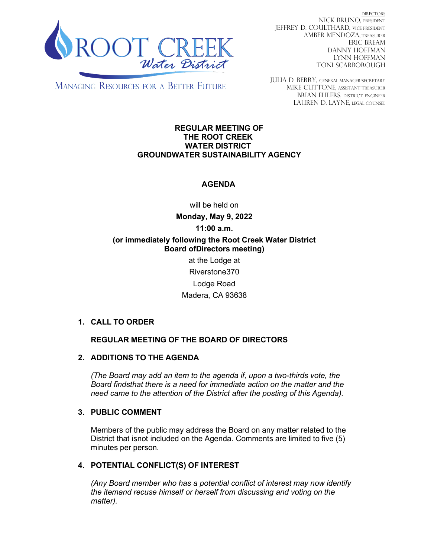

DIRECTORS NICK BRUNO, PRESIDENT JEFFREY D. COULTHARD, Vice President AMBER MENDOZA, TREASURER ERIC BREAM DANNY HOFFMAN LYNN HOFFMAN TONI SCARBOROUGH

**MANAGING RESOURCES FOR A BETTER FUTURE** 

JULIA D. BERRY, GENERAL MANAGER/secretary MIKE CUTTONE, Assistant treasurer BRIAN EHLERS, DISTRICT ENGINEER LAUREN D. LAYNE, LEGAL COUNSEL

### **REGULAR MEETING OF THE ROOT CREEK WATER DISTRICT GROUNDWATER SUSTAINABILITY AGENCY**

# **AGENDA**

will be held on

**Monday, May 9, 2022 11:00 a.m. (or immediately following the Root Creek Water District Board ofDirectors meeting)**

> at the Lodge at Riverstone370 Lodge Road Madera, CA 93638

### **1. CALL TO ORDER**

### **REGULAR MEETING OF THE BOARD OF DIRECTORS**

### **2. ADDITIONS TO THE AGENDA**

*(The Board may add an item to the agenda if, upon a two-thirds vote, the Board findsthat there is a need for immediate action on the matter and the need came to the attention of the District after the posting of this Agenda).*

### **3. PUBLIC COMMENT**

Members of the public may address the Board on any matter related to the District that isnot included on the Agenda. Comments are limited to five (5) minutes per person.

## **4. POTENTIAL CONFLICT(S) OF INTEREST**

*(Any Board member who has a potential conflict of interest may now identify the itemand recuse himself or herself from discussing and voting on the matter).*